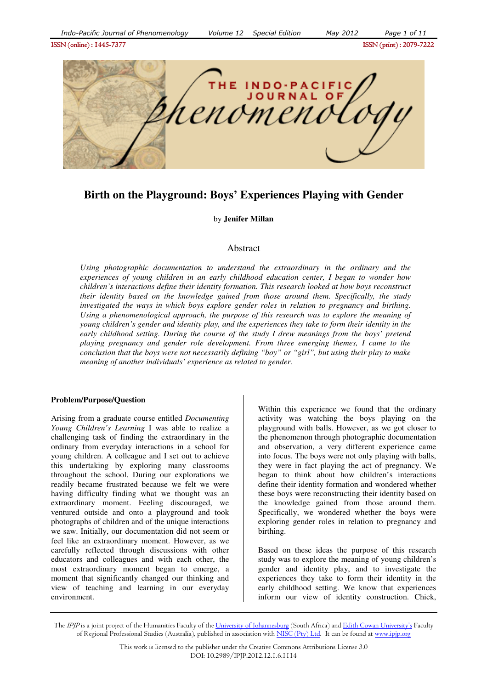

# **Birth on the Playground: Boys' Experiences Playing with Gender**

by **Jenifer Millan** 

## Abstract

*Using photographic documentation to understand the extraordinary in the ordinary and the experiences of young children in an early childhood education center, I began to wonder how children's interactions define their identity formation. This research looked at how boys reconstruct their identity based on the knowledge gained from those around them. Specifically, the study investigated the ways in which boys explore gender roles in relation to pregnancy and birthing. Using a phenomenological approach, the purpose of this research was to explore the meaning of young children's gender and identity play, and the experiences they take to form their identity in the early childhood setting. During the course of the study I drew meanings from the boys' pretend playing pregnancy and gender role development. From three emerging themes, I came to the conclusion that the boys were not necessarily defining "boy" or "girl", but using their play to make meaning of another individuals' experience as related to gender.* 

## **Problem/Purpose/Question**

Arising from a graduate course entitled *Documenting Young Children's Learning* I was able to realize a challenging task of finding the extraordinary in the ordinary from everyday interactions in a school for young children. A colleague and I set out to achieve this undertaking by exploring many classrooms throughout the school. During our explorations we readily became frustrated because we felt we were having difficulty finding what we thought was an extraordinary moment. Feeling discouraged, we ventured outside and onto a playground and took photographs of children and of the unique interactions we saw. Initially, our documentation did not seem or feel like an extraordinary moment. However, as we carefully reflected through discussions with other educators and colleagues and with each other, the most extraordinary moment began to emerge, a moment that significantly changed our thinking and view of teaching and learning in our everyday environment.

Within this experience we found that the ordinary activity was watching the boys playing on the playground with balls. However, as we got closer to the phenomenon through photographic documentation and observation, a very different experience came into focus. The boys were not only playing with balls, they were in fact playing the act of pregnancy. We began to think about how children's interactions define their identity formation and wondered whether these boys were reconstructing their identity based on the knowledge gained from those around them. Specifically, we wondered whether the boys were exploring gender roles in relation to pregnancy and birthing.

Based on these ideas the purpose of this research study was to explore the meaning of young children's gender and identity play, and to investigate the experiences they take to form their identity in the early childhood setting. We know that experiences inform our view of identity construction. Chick,

The IPJP is a joint project of the Humanities Faculty of the University of Johannesburg (South Africa) and Edith Cowan University's Faculty of Regional Professional Studies (Australia), published in association with NISC (Pty) Ltd. It can be found at www.ipjp.org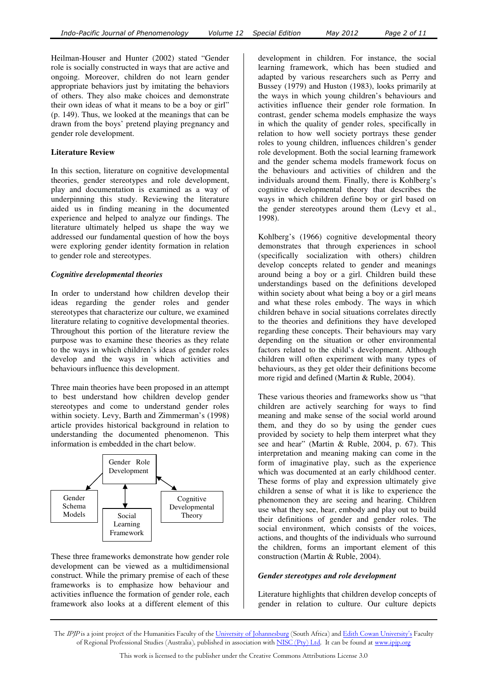Heilman-Houser and Hunter (2002) stated "Gender role is socially constructed in ways that are active and ongoing. Moreover, children do not learn gender appropriate behaviors just by imitating the behaviors of others. They also make choices and demonstrate their own ideas of what it means to be a boy or girl" (p. 149). Thus, we looked at the meanings that can be drawn from the boys' pretend playing pregnancy and gender role development.

## **Literature Review**

In this section, literature on cognitive developmental theories, gender stereotypes and role development, play and documentation is examined as a way of underpinning this study. Reviewing the literature aided us in finding meaning in the documented experience and helped to analyze our findings. The literature ultimately helped us shape the way we addressed our fundamental question of how the boys were exploring gender identity formation in relation to gender role and stereotypes.

## *Cognitive developmental theories*

In order to understand how children develop their ideas regarding the gender roles and gender stereotypes that characterize our culture, we examined literature relating to cognitive developmental theories. Throughout this portion of the literature review the purpose was to examine these theories as they relate to the ways in which children's ideas of gender roles develop and the ways in which activities and behaviours influence this development.

Three main theories have been proposed in an attempt to best understand how children develop gender stereotypes and come to understand gender roles within society. Levy, Barth and Zimmerman's (1998) article provides historical background in relation to understanding the documented phenomenon. This information is embedded in the chart below.



These three frameworks demonstrate how gender role development can be viewed as a multidimensional construct. While the primary premise of each of these frameworks is to emphasize how behaviour and activities influence the formation of gender role, each framework also looks at a different element of this development in children. For instance, the social learning framework, which has been studied and adapted by various researchers such as Perry and Bussey (1979) and Huston (1983), looks primarily at the ways in which young children's behaviours and activities influence their gender role formation. In contrast, gender schema models emphasize the ways in which the quality of gender roles, specifically in relation to how well society portrays these gender roles to young children, influences children's gender role development. Both the social learning framework and the gender schema models framework focus on the behaviours and activities of children and the individuals around them. Finally, there is Kohlberg's cognitive developmental theory that describes the ways in which children define boy or girl based on the gender stereotypes around them (Levy et al., 1998).

Kohlberg's (1966) cognitive developmental theory demonstrates that through experiences in school (specifically socialization with others) children develop concepts related to gender and meanings around being a boy or a girl. Children build these understandings based on the definitions developed within society about what being a boy or a girl means and what these roles embody. The ways in which children behave in social situations correlates directly to the theories and definitions they have developed regarding these concepts. Their behaviours may vary depending on the situation or other environmental factors related to the child's development. Although children will often experiment with many types of behaviours, as they get older their definitions become more rigid and defined (Martin & Ruble, 2004).

These various theories and frameworks show us "that children are actively searching for ways to find meaning and make sense of the social world around them, and they do so by using the gender cues provided by society to help them interpret what they see and hear" (Martin & Ruble, 2004, p. 67). This interpretation and meaning making can come in the form of imaginative play, such as the experience which was documented at an early childhood center. These forms of play and expression ultimately give children a sense of what it is like to experience the phenomenon they are seeing and hearing. Children use what they see, hear, embody and play out to build their definitions of gender and gender roles. The social environment, which consists of the voices, actions, and thoughts of the individuals who surround the children, forms an important element of this construction (Martin & Ruble, 2004).

#### *Gender stereotypes and role development*

Literature highlights that children develop concepts of gender in relation to culture. Our culture depicts

The IPJP is a joint project of the Humanities Faculty of the University of Johannesburg (South Africa) and Edith Cowan University's Faculty of Regional Professional Studies (Australia), published in association with NISC (Pty) Ltd. It can be found at www.ipjp.org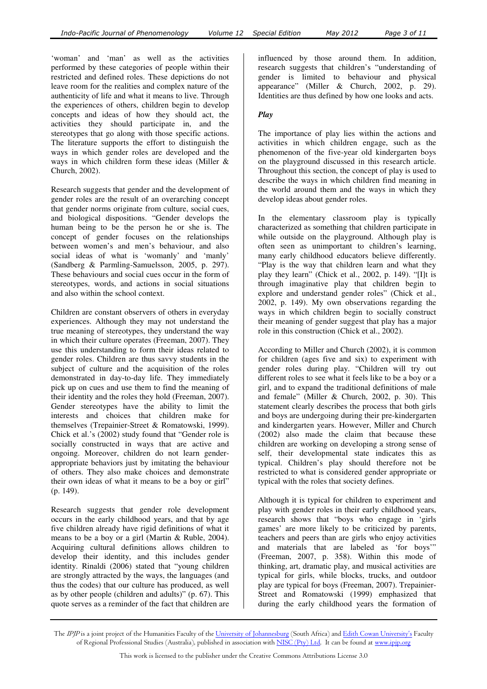'woman' and 'man' as well as the activities performed by these categories of people within their restricted and defined roles. These depictions do not leave room for the realities and complex nature of the authenticity of life and what it means to live. Through the experiences of others, children begin to develop concepts and ideas of how they should act, the activities they should participate in, and the stereotypes that go along with those specific actions. The literature supports the effort to distinguish the ways in which gender roles are developed and the ways in which children form these ideas (Miller & Church, 2002).

Research suggests that gender and the development of gender roles are the result of an overarching concept that gender norms originate from culture, social cues, and biological dispositions. "Gender develops the human being to be the person he or she is. The concept of gender focuses on the relationships between women's and men's behaviour, and also social ideas of what is 'womanly' and 'manly' (Sandberg & Parmling-Samuelsson, 2005, p. 297). These behaviours and social cues occur in the form of stereotypes, words, and actions in social situations and also within the school context.

Children are constant observers of others in everyday experiences. Although they may not understand the true meaning of stereotypes, they understand the way in which their culture operates (Freeman, 2007). They use this understanding to form their ideas related to gender roles. Children are thus savvy students in the subject of culture and the acquisition of the roles demonstrated in day-to-day life. They immediately pick up on cues and use them to find the meaning of their identity and the roles they hold (Freeman, 2007). Gender stereotypes have the ability to limit the interests and choices that children make for themselves (Trepainier-Street & Romatowski, 1999). Chick et al.'s (2002) study found that "Gender role is socially constructed in ways that are active and ongoing. Moreover, children do not learn genderappropriate behaviors just by imitating the behaviour of others. They also make choices and demonstrate their own ideas of what it means to be a boy or girl" (p. 149).

Research suggests that gender role development occurs in the early childhood years, and that by age five children already have rigid definitions of what it means to be a boy or a girl (Martin & Ruble, 2004). Acquiring cultural definitions allows children to develop their identity, and this includes gender identity. Rinaldi (2006) stated that "young children are strongly attracted by the ways, the languages (and thus the codes) that our culture has produced, as well as by other people (children and adults)" (p. 67). This quote serves as a reminder of the fact that children are

influenced by those around them. In addition, research suggests that children's "understanding of gender is limited to behaviour and physical appearance" (Miller & Church, 2002, p. 29). Identities are thus defined by how one looks and acts.

## *Play*

The importance of play lies within the actions and activities in which children engage, such as the phenomenon of the five-year old kindergarten boys on the playground discussed in this research article. Throughout this section, the concept of play is used to describe the ways in which children find meaning in the world around them and the ways in which they develop ideas about gender roles.

In the elementary classroom play is typically characterized as something that children participate in while outside on the playground. Although play is often seen as unimportant to children's learning, many early childhood educators believe differently. "Play is the way that children learn and what they play they learn" (Chick et al., 2002, p. 149). "[I]t is through imaginative play that children begin to explore and understand gender roles" (Chick et al., 2002, p. 149). My own observations regarding the ways in which children begin to socially construct their meaning of gender suggest that play has a major role in this construction (Chick et al., 2002).

According to Miller and Church (2002), it is common for children (ages five and six) to experiment with gender roles during play. "Children will try out different roles to see what it feels like to be a boy or a girl, and to expand the traditional definitions of male and female" (Miller & Church, 2002, p. 30). This statement clearly describes the process that both girls and boys are undergoing during their pre-kindergarten and kindergarten years. However, Miller and Church (2002) also made the claim that because these children are working on developing a strong sense of self, their developmental state indicates this as typical. Children's play should therefore not be restricted to what is considered gender appropriate or typical with the roles that society defines.

Although it is typical for children to experiment and play with gender roles in their early childhood years, research shows that "boys who engage in 'girls games' are more likely to be criticized by parents, teachers and peers than are girls who enjoy activities and materials that are labeled as 'for boys'" (Freeman, 2007, p. 358). Within this mode of thinking, art, dramatic play, and musical activities are typical for girls, while blocks, trucks, and outdoor play are typical for boys (Freeman, 2007). Trepainier-Street and Romatowski (1999) emphasized that during the early childhood years the formation of

The IPJP is a joint project of the Humanities Faculty of the University of Johannesburg (South Africa) and Edith Cowan University's Faculty of Regional Professional Studies (Australia), published in association with NISC (Pty) Ltd. It can be found at www.ipjp.org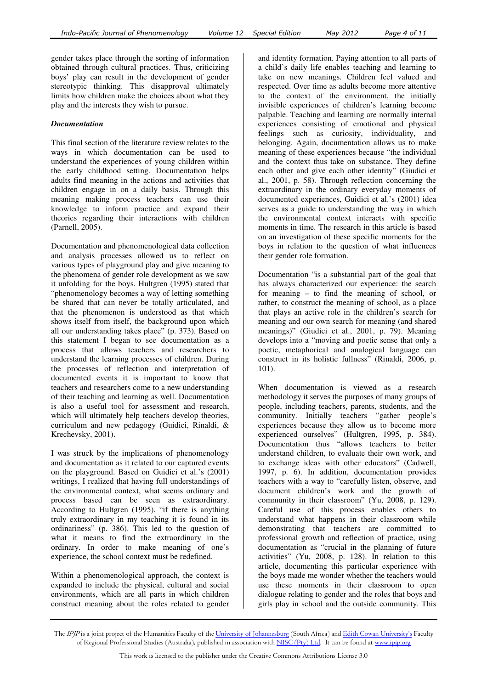gender takes place through the sorting of information obtained through cultural practices. Thus, criticizing boys' play can result in the development of gender stereotypic thinking. This disapproval ultimately limits how children make the choices about what they play and the interests they wish to pursue.

# *Documentation*

This final section of the literature review relates to the ways in which documentation can be used to understand the experiences of young children within the early childhood setting. Documentation helps adults find meaning in the actions and activities that children engage in on a daily basis. Through this meaning making process teachers can use their knowledge to inform practice and expand their theories regarding their interactions with children (Parnell, 2005).

Documentation and phenomenological data collection and analysis processes allowed us to reflect on various types of playground play and give meaning to the phenomena of gender role development as we saw it unfolding for the boys. Hultgren (1995) stated that "phenomenology becomes a way of letting something be shared that can never be totally articulated, and that the phenomenon is understood as that which shows itself from itself, the background upon which all our understanding takes place" (p. 373). Based on this statement I began to see documentation as a process that allows teachers and researchers to understand the learning processes of children. During the processes of reflection and interpretation of documented events it is important to know that teachers and researchers come to a new understanding of their teaching and learning as well. Documentation is also a useful tool for assessment and research, which will ultimately help teachers develop theories, curriculum and new pedagogy (Guidici, Rinaldi, & Krechevsky, 2001).

I was struck by the implications of phenomenology and documentation as it related to our captured events on the playground. Based on Guidici et al.'s (2001) writings, I realized that having full understandings of the environmental context, what seems ordinary and process based can be seen as extraordinary. According to Hultgren (1995), "if there is anything truly extraordinary in my teaching it is found in its ordinariness" (p. 386). This led to the question of what it means to find the extraordinary in the ordinary. In order to make meaning of one's experience, the school context must be redefined.

Within a phenomenological approach, the context is expanded to include the physical, cultural and social environments, which are all parts in which children construct meaning about the roles related to gender

and identity formation. Paying attention to all parts of a child's daily life enables teaching and learning to take on new meanings. Children feel valued and respected. Over time as adults become more attentive to the context of the environment, the initially invisible experiences of children's learning become palpable. Teaching and learning are normally internal experiences consisting of emotional and physical feelings such as curiosity, individuality, and belonging. Again, documentation allows us to make meaning of these experiences because "the individual and the context thus take on substance. They define each other and give each other identity" (Giudici et al., 2001, p. 58). Through reflection concerning the extraordinary in the ordinary everyday moments of documented experiences, Guidici et al.'s (2001) idea serves as a guide to understanding the way in which the environmental context interacts with specific moments in time. The research in this article is based on an investigation of these specific moments for the boys in relation to the question of what influences their gender role formation.

Documentation "is a substantial part of the goal that has always characterized our experience: the search for meaning – to find the meaning of school, or rather, to construct the meaning of school, as a place that plays an active role in the children's search for meaning and our own search for meaning (and shared meanings)" (Giudici et al., 2001, p. 79). Meaning develops into a "moving and poetic sense that only a poetic, metaphorical and analogical language can construct in its holistic fullness" (Rinaldi, 2006, p. 101).

When documentation is viewed as a research methodology it serves the purposes of many groups of people, including teachers, parents, students, and the community. Initially teachers "gather people's experiences because they allow us to become more experienced ourselves" (Hultgren, 1995, p. 384). Documentation thus "allows teachers to better understand children, to evaluate their own work, and to exchange ideas with other educators" (Cadwell, 1997, p. 6). In addition, documentation provides teachers with a way to "carefully listen, observe, and document children's work and the growth of community in their classroom" (Yu, 2008, p. 129). Careful use of this process enables others to understand what happens in their classroom while demonstrating that teachers are committed to professional growth and reflection of practice, using documentation as "crucial in the planning of future activities" (Yu, 2008, p. 128). In relation to this article, documenting this particular experience with the boys made me wonder whether the teachers would use these moments in their classroom to open dialogue relating to gender and the roles that boys and girls play in school and the outside community. This

The *IPJP* is a joint project of the Humanities Faculty of the <u>University of Johannesburg</u> (South Africa) and <u>Edith Cowan University's</u> Faculty of Regional Professional Studies (Australia), published in association with <u>NISC (Pty) Ltd</u>. It can be found at <u>www.ipjp.org</u>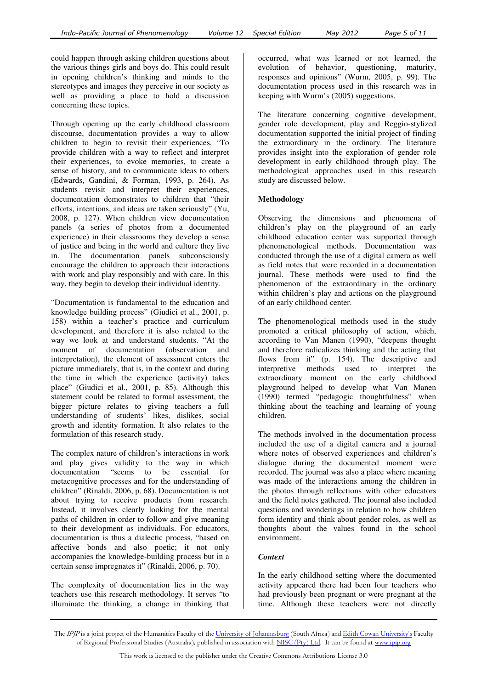could happen through asking children questions about the various things girls and boys do. This could result in opening children's thinking and minds to the stereotypes and images they perceive in our society as well as providing a place to hold a discussion concerning these topics.

Through opening up the early childhood classroom discourse, documentation provides a way to allow children to begin to revisit their experiences, "To provide children with a way to reflect and interpret their experiences, to evoke memories, to create a sense of history, and to communicate ideas to others (Edwards, Gandini, & Forman, 1993, p. 264). As students revisit and interpret their experiences, documentation demonstrates to children that "their efforts, intentions, and ideas are taken seriously" (Yu, 2008, p. 127). When children view documentation panels (a series of photos from a documented experience) in their classrooms they develop a sense of justice and being in the world and culture they live in. The documentation panels subconsciously encourage the children to approach their interactions with work and play responsibly and with care. In this way, they begin to develop their individual identity.

"Documentation is fundamental to the education and knowledge building process" (Giudici et al., 2001, p. 158) within a teacher's practice and curriculum development, and therefore it is also related to the way we look at and understand students. "At the moment of documentation (observation and interpretation), the element of assessment enters the picture immediately, that is, in the context and during the time in which the experience (activity) takes place" (Giudici et al., 2001, p. 85). Although this statement could be related to formal assessment, the bigger picture relates to giving teachers a full understanding of students' likes, dislikes, social growth and identity formation. It also relates to the formulation of this research study.

The complex nature of children's interactions in work and play gives validity to the way in which documentation "seems to be essential for metacognitive processes and for the understanding of children" (Rinaldi, 2006, p. 68). Documentation is not about trying to receive products from research. Instead, it involves clearly looking for the mental paths of children in order to follow and give meaning to their development as individuals. For educators, documentation is thus a dialectic process, "based on affective bonds and also poetic; it not only accompanies the knowledge-building process but in a certain sense impregnates it" (Rinaldi, 2006, p. 70).

The complexity of documentation lies in the way teachers use this research methodology. It serves "to illuminate the thinking, a change in thinking that

occurred, what was learned or not learned, the evolution of behavior, questioning, maturity, responses and opinions" (Wurm, 2005, p. 99). The documentation process used in this research was in keeping with Wurm's (2005) suggestions.

The literature concerning cognitive development, gender role development, play and Reggio-stylized documentation supported the initial project of finding the extraordinary in the ordinary. The literature provides insight into the exploration of gender role development in early childhood through play. The methodological approaches used in this research study are discussed below.

## **Methodology**

Observing the dimensions and phenomena of children's play on the playground of an early childhood education center was supported through phenomenological methods. Documentation was conducted through the use of a digital camera as well as field notes that were recorded in a documentation journal. These methods were used to find the phenomenon of the extraordinary in the ordinary within children's play and actions on the playground of an early childhood center.

The phenomenological methods used in the study promoted a critical philosophy of action, which, according to Van Manen (1990), "deepens thought and therefore radicalizes thinking and the acting that flows from it" (p. 154). The descriptive and interpretive methods used to interpret the extraordinary moment on the early childhood playground helped to develop what Van Manen (1990) termed "pedagogic thoughtfulness" when thinking about the teaching and learning of young children.

The methods involved in the documentation process included the use of a digital camera and a journal where notes of observed experiences and children's dialogue during the documented moment were recorded. The journal was also a place where meaning was made of the interactions among the children in the photos through reflections with other educators and the field notes gathered. The journal also included questions and wonderings in relation to how children form identity and think about gender roles, as well as thoughts about the values found in the school environment.

#### *Context*

In the early childhood setting where the documented activity appeared there had been four teachers who had previously been pregnant or were pregnant at the time. Although these teachers were not directly

The IPJP is a joint project of the Humanities Faculty of the University of Johannesburg (South Africa) and Edith Cowan University's Faculty of Regional Professional Studies (Australia), published in association with NISC (Pty) Ltd. It can be found at www.ipjp.org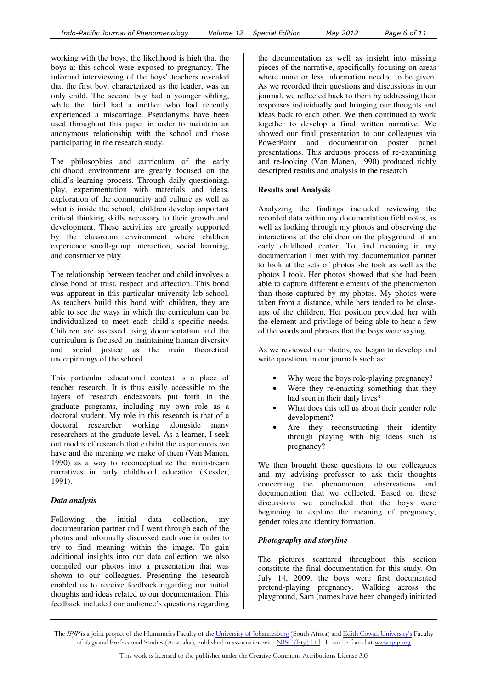working with the boys, the likelihood is high that the boys at this school were exposed to pregnancy. The informal interviewing of the boys' teachers revealed that the first boy, characterized as the leader, was an only child. The second boy had a younger sibling, while the third had a mother who had recently experienced a miscarriage. Pseudonyms have been used throughout this paper in order to maintain an anonymous relationship with the school and those participating in the research study.

The philosophies and curriculum of the early childhood environment are greatly focused on the child's learning process. Through daily questioning, play, experimentation with materials and ideas, exploration of the community and culture as well as what is inside the school, children develop important critical thinking skills necessary to their growth and development. These activities are greatly supported by the classroom environment where children experience small-group interaction, social learning, and constructive play.

The relationship between teacher and child involves a close bond of trust, respect and affection. This bond was apparent in this particular university lab-school. As teachers build this bond with children, they are able to see the ways in which the curriculum can be individualized to meet each child's specific needs. Children are assessed using documentation and the curriculum is focused on maintaining human diversity and social justice as the main theoretical underpinnings of the school.

This particular educational context is a place of teacher research. It is thus easily accessible to the layers of research endeavours put forth in the graduate programs, including my own role as a doctoral student. My role in this research is that of a doctoral researcher working alongside many researchers at the graduate level. As a learner, I seek out modes of research that exhibit the experiences we have and the meaning we make of them (Van Manen, 1990) as a way to reconceptualize the mainstream narratives in early childhood education (Kessler, 1991).

#### *Data analysis*

Following the initial data collection, my documentation partner and I went through each of the photos and informally discussed each one in order to try to find meaning within the image. To gain additional insights into our data collection, we also compiled our photos into a presentation that was shown to our colleagues. Presenting the research enabled us to receive feedback regarding our initial thoughts and ideas related to our documentation. This feedback included our audience's questions regarding

the documentation as well as insight into missing pieces of the narrative, specifically focusing on areas where more or less information needed to be given. As we recorded their questions and discussions in our journal, we reflected back to them by addressing their responses individually and bringing our thoughts and ideas back to each other. We then continued to work together to develop a final written narrative. We showed our final presentation to our colleagues via PowerPoint and documentation poster panel presentations. This arduous process of re-examining and re-looking (Van Manen, 1990) produced richly descripted results and analysis in the research.

#### **Results and Analysis**

Analyzing the findings included reviewing the recorded data within my documentation field notes, as well as looking through my photos and observing the interactions of the children on the playground of an early childhood center. To find meaning in my documentation I met with my documentation partner to look at the sets of photos she took as well as the photos I took. Her photos showed that she had been able to capture different elements of the phenomenon than those captured by my photos. My photos were taken from a distance, while hers tended to be closeups of the children. Her position provided her with the element and privilege of being able to hear a few of the words and phrases that the boys were saying.

As we reviewed our photos, we began to develop and write questions in our journals such as:

- Why were the boys role-playing pregnancy?
- Were they re-enacting something that they had seen in their daily lives?
- What does this tell us about their gender role development?
- Are they reconstructing their identity through playing with big ideas such as pregnancy?

We then brought these questions to our colleagues and my advising professor to ask their thoughts concerning the phenomenon, observations and documentation that we collected. Based on these discussions we concluded that the boys were beginning to explore the meaning of pregnancy, gender roles and identity formation.

#### *Photography and storyline*

The pictures scattered throughout this section constitute the final documentation for this study. On July 14, 2009, the boys were first documented pretend-playing pregnancy. Walking across the playground, Sam (names have been changed) initiated

The *IPJP* is a joint project of the Humanities Faculty of the <u>University of Johannesburg</u> (South Africa) and <u>Edith Cowan University's</u> Faculty of Regional Professional Studies (Australia), published in association with <u>NISC (Pty) Ltd</u>. It can be found at <u>www.ipjp.org</u>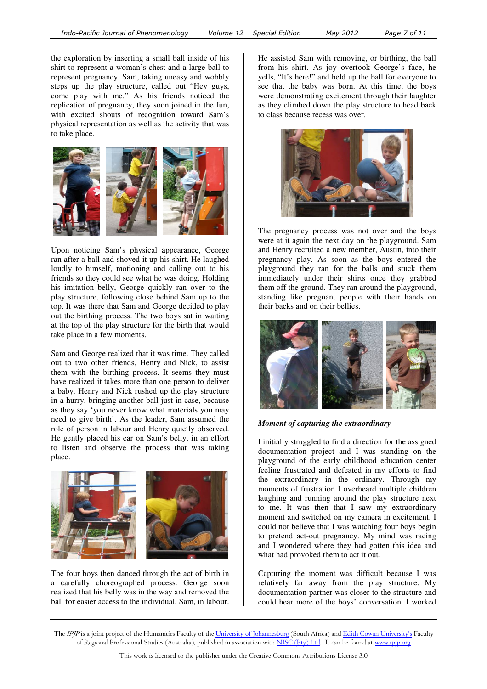the exploration by inserting a small ball inside of his shirt to represent a woman's chest and a large ball to represent pregnancy. Sam, taking uneasy and wobbly steps up the play structure, called out "Hey guys, come play with me." As his friends noticed the replication of pregnancy, they soon joined in the fun, with excited shouts of recognition toward Sam's physical representation as well as the activity that was to take place.



Upon noticing Sam's physical appearance, George ran after a ball and shoved it up his shirt. He laughed loudly to himself, motioning and calling out to his friends so they could see what he was doing. Holding his imitation belly, George quickly ran over to the play structure, following close behind Sam up to the top. It was there that Sam and George decided to play out the birthing process. The two boys sat in waiting at the top of the play structure for the birth that would take place in a few moments.

Sam and George realized that it was time. They called out to two other friends, Henry and Nick, to assist them with the birthing process. It seems they must have realized it takes more than one person to deliver a baby. Henry and Nick rushed up the play structure in a hurry, bringing another ball just in case, because as they say 'you never know what materials you may need to give birth'. As the leader, Sam assumed the role of person in labour and Henry quietly observed. He gently placed his ear on Sam's belly, in an effort to listen and observe the process that was taking place.



The four boys then danced through the act of birth in a carefully choreographed process. George soon realized that his belly was in the way and removed the ball for easier access to the individual, Sam, in labour.

He assisted Sam with removing, or birthing, the ball from his shirt. As joy overtook George's face, he yells, "It's here!" and held up the ball for everyone to see that the baby was born. At this time, the boys were demonstrating excitement through their laughter as they climbed down the play structure to head back to class because recess was over.



The pregnancy process was not over and the boys were at it again the next day on the playground. Sam and Henry recruited a new member, Austin, into their pregnancy play. As soon as the boys entered the playground they ran for the balls and stuck them immediately under their shirts once they grabbed them off the ground. They ran around the playground, standing like pregnant people with their hands on their backs and on their bellies.



*Moment of capturing the extraordinary* 

I initially struggled to find a direction for the assigned documentation project and I was standing on the playground of the early childhood education center feeling frustrated and defeated in my efforts to find the extraordinary in the ordinary. Through my moments of frustration I overheard multiple children laughing and running around the play structure next to me. It was then that I saw my extraordinary moment and switched on my camera in excitement. I could not believe that I was watching four boys begin to pretend act-out pregnancy. My mind was racing and I wondered where they had gotten this idea and what had provoked them to act it out.

Capturing the moment was difficult because I was relatively far away from the play structure. My documentation partner was closer to the structure and could hear more of the boys' conversation. I worked

The *IPJP* is a joint project of the Humanities Faculty of the <u>University of Johannesburg</u> (South Africa) and <u>Edith Cowan University's</u> Faculty of Regional Professional Studies (Australia), published in association with <u>NISC (Pty) Ltd</u>. It can be found at <u>www.ipjp.org</u>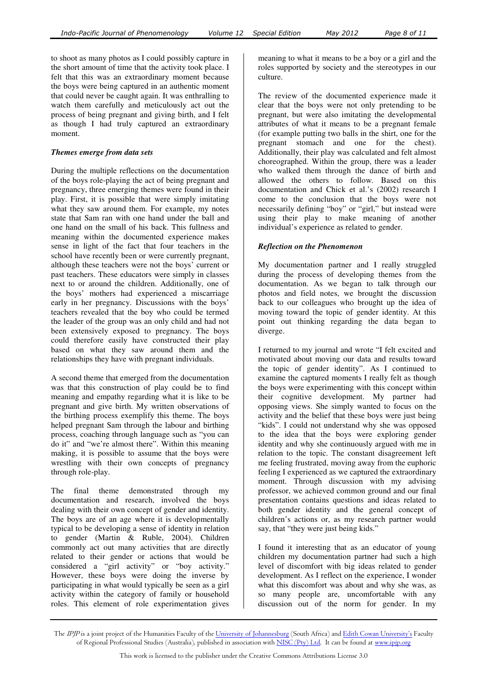to shoot as many photos as I could possibly capture in the short amount of time that the activity took place. I

felt that this was an extraordinary moment because the boys were being captured in an authentic moment that could never be caught again. It was enthralling to watch them carefully and meticulously act out the process of being pregnant and giving birth, and I felt as though I had truly captured an extraordinary moment.

## *Themes emerge from data sets*

During the multiple reflections on the documentation of the boys role-playing the act of being pregnant and pregnancy, three emerging themes were found in their play. First, it is possible that were simply imitating what they saw around them. For example, my notes state that Sam ran with one hand under the ball and one hand on the small of his back. This fullness and meaning within the documented experience makes sense in light of the fact that four teachers in the school have recently been or were currently pregnant, although these teachers were not the boys' current or past teachers. These educators were simply in classes next to or around the children. Additionally, one of the boys' mothers had experienced a miscarriage early in her pregnancy. Discussions with the boys' teachers revealed that the boy who could be termed the leader of the group was an only child and had not been extensively exposed to pregnancy. The boys could therefore easily have constructed their play based on what they saw around them and the relationships they have with pregnant individuals.

A second theme that emerged from the documentation was that this construction of play could be to find meaning and empathy regarding what it is like to be pregnant and give birth. My written observations of the birthing process exemplify this theme. The boys helped pregnant Sam through the labour and birthing process, coaching through language such as "you can do it" and "we're almost there". Within this meaning making, it is possible to assume that the boys were wrestling with their own concepts of pregnancy through role-play.

The final theme demonstrated through my documentation and research, involved the boys dealing with their own concept of gender and identity. The boys are of an age where it is developmentally typical to be developing a sense of identity in relation to gender (Martin & Ruble, 2004). Children commonly act out many activities that are directly related to their gender or actions that would be considered a "girl activity" or "boy activity." However, these boys were doing the inverse by participating in what would typically be seen as a girl activity within the category of family or household roles. This element of role experimentation gives

meaning to what it means to be a boy or a girl and the roles supported by society and the stereotypes in our culture.

The review of the documented experience made it clear that the boys were not only pretending to be pregnant, but were also imitating the developmental attributes of what it means to be a pregnant female (for example putting two balls in the shirt, one for the pregnant stomach and one for the chest). Additionally, their play was calculated and felt almost choreographed. Within the group, there was a leader who walked them through the dance of birth and allowed the others to follow. Based on this documentation and Chick et al.'s (2002) research I come to the conclusion that the boys were not necessarily defining "boy" or "girl," but instead were using their play to make meaning of another individual's experience as related to gender.

## *Reflection on the Phenomenon*

My documentation partner and I really struggled during the process of developing themes from the documentation. As we began to talk through our photos and field notes, we brought the discussion back to our colleagues who brought up the idea of moving toward the topic of gender identity. At this point out thinking regarding the data began to diverge.

I returned to my journal and wrote "I felt excited and motivated about moving our data and results toward the topic of gender identity". As I continued to examine the captured moments I really felt as though the boys were experimenting with this concept within their cognitive development. My partner had opposing views. She simply wanted to focus on the activity and the belief that these boys were just being "kids". I could not understand why she was opposed to the idea that the boys were exploring gender identity and why she continuously argued with me in relation to the topic. The constant disagreement left me feeling frustrated, moving away from the euphoric feeling I experienced as we captured the extraordinary moment. Through discussion with my advising professor, we achieved common ground and our final presentation contains questions and ideas related to both gender identity and the general concept of children's actions or, as my research partner would say, that "they were just being kids."

I found it interesting that as an educator of young children my documentation partner had such a high level of discomfort with big ideas related to gender development. As I reflect on the experience, I wonder what this discomfort was about and why she was, as so many people are, uncomfortable with any discussion out of the norm for gender. In my

The *IPJP* is a joint project of the Humanities Faculty of the <u>University of Johannesburg</u> (South Africa) and <u>Edith Cowan University's</u> Faculty of Regional Professional Studies (Australia), published in association with <u>NISC (Pty) Ltd</u>. It can be found at <u>www.ipjp.org</u>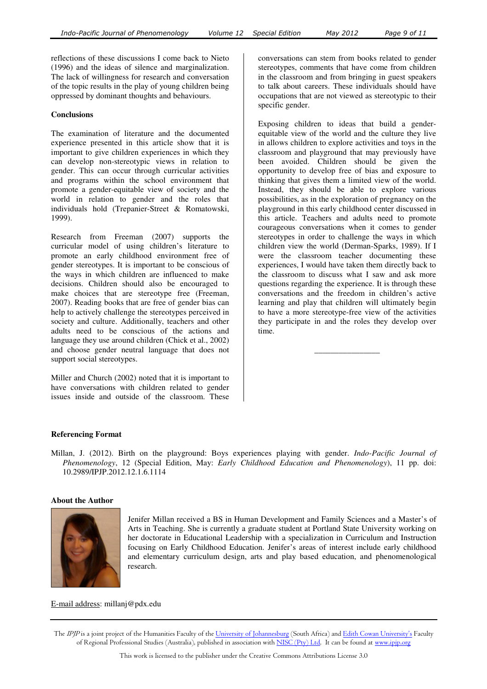reflections of these discussions I come back to Nieto (1996) and the ideas of silence and marginalization. The lack of willingness for research and conversation of the topic results in the play of young children being oppressed by dominant thoughts and behaviours.

### **Conclusions**

The examination of literature and the documented experience presented in this article show that it is important to give children experiences in which they can develop non-stereotypic views in relation to gender. This can occur through curricular activities and programs within the school environment that promote a gender-equitable view of society and the world in relation to gender and the roles that individuals hold (Trepanier-Street & Romatowski, 1999).

Research from Freeman (2007) supports the curricular model of using children's literature to promote an early childhood environment free of gender stereotypes. It is important to be conscious of the ways in which children are influenced to make decisions. Children should also be encouraged to make choices that are stereotype free (Freeman, 2007). Reading books that are free of gender bias can help to actively challenge the stereotypes perceived in society and culture. Additionally, teachers and other adults need to be conscious of the actions and language they use around children (Chick et al., 2002) and choose gender neutral language that does not support social stereotypes.

Miller and Church (2002) noted that it is important to have conversations with children related to gender issues inside and outside of the classroom. These conversations can stem from books related to gender stereotypes, comments that have come from children in the classroom and from bringing in guest speakers to talk about careers. These individuals should have occupations that are not viewed as stereotypic to their specific gender.

Exposing children to ideas that build a genderequitable view of the world and the culture they live in allows children to explore activities and toys in the classroom and playground that may previously have been avoided. Children should be given the opportunity to develop free of bias and exposure to thinking that gives them a limited view of the world. Instead, they should be able to explore various possibilities, as in the exploration of pregnancy on the playground in this early childhood center discussed in this article. Teachers and adults need to promote courageous conversations when it comes to gender stereotypes in order to challenge the ways in which children view the world (Derman-Sparks, 1989). If I were the classroom teacher documenting these experiences, I would have taken them directly back to the classroom to discuss what I saw and ask more questions regarding the experience. It is through these conversations and the freedom in children's active learning and play that children will ultimately begin to have a more stereotype-free view of the activities they participate in and the roles they develop over time.

\_\_\_\_\_\_\_\_\_\_\_\_\_\_\_\_

## **Referencing Format**

Millan, J. (2012). Birth on the playground: Boys experiences playing with gender. *Indo-Pacific Journal of Phenomenology*, 12 (Special Edition, May: *Early Childhood Education and Phenomenology*), 11 pp. doi: 10.2989/IPJP.2012.12.1.6.1114

#### **About the Author**



Jenifer Millan received a BS in Human Development and Family Sciences and a Master's of Arts in Teaching. She is currently a graduate student at Portland State University working on her doctorate in Educational Leadership with a specialization in Curriculum and Instruction focusing on Early Childhood Education. Jenifer's areas of interest include early childhood and elementary curriculum design, arts and play based education, and phenomenological research.

#### E-mail address: millanj@pdx.edu

The IPJP is a joint project of the Humanities Faculty of the University of Johannesburg (South Africa) and Edith Cowan University's Faculty of Regional Professional Studies (Australia), published in association with NISC (Pty) Ltd. It can be found at www.ipjp.org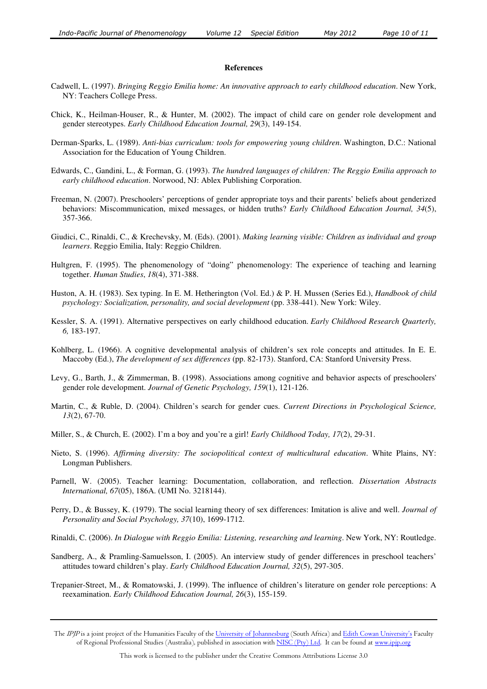#### **References**

- Cadwell, L. (1997). *Bringing Reggio Emilia home: An innovative approach to early childhood education*. New York, NY: Teachers College Press.
- Chick, K., Heilman-Houser, R., & Hunter, M. (2002). The impact of child care on gender role development and gender stereotypes. *Early Childhood Education Journal, 29*(3), 149-154.
- Derman-Sparks, L. (1989). *Anti-bias curriculum: tools for empowering young children*. Washington, D.C.: National Association for the Education of Young Children.
- Edwards, C., Gandini, L., & Forman, G. (1993). *The hundred languages of children: The Reggio Emilia approach to early childhood education*. Norwood, NJ: Ablex Publishing Corporation.
- Freeman, N. (2007). Preschoolers' perceptions of gender appropriate toys and their parents' beliefs about genderized behaviors: Miscommunication, mixed messages, or hidden truths? *Early Childhood Education Journal, 34*(5), 357-366.
- Giudici, C., Rinaldi, C., & Krechevsky, M. (Eds). (2001). *Making learning visible: Children as individual and group learners*. Reggio Emilia, Italy: Reggio Children.
- Hultgren, F. (1995). The phenomenology of "doing" phenomenology: The experience of teaching and learning together. *Human Studies*, *18*(4), 371-388.
- Huston, A. H. (1983). Sex typing. In E. M. Hetherington (Vol. Ed.) & P. H. Mussen (Series Ed.), *Handbook of child psychology: Socialization, personality, and social development* (pp. 338-441). New York: Wiley.
- Kessler, S. A. (1991). Alternative perspectives on early childhood education. *Early Childhood Research Quarterly, 6,* 183-197.
- Kohlberg, L. (1966). A cognitive developmental analysis of children's sex role concepts and attitudes. In E. E. Maccoby (Ed.), *The development of sex differences* (pp. 82-173). Stanford, CA: Stanford University Press.
- Levy, G., Barth, J., & Zimmerman, B. (1998). Associations among cognitive and behavior aspects of preschoolers' gender role development. *Journal of Genetic Psychology, 159*(1), 121-126.
- Martin, C., & Ruble, D. (2004). Children's search for gender cues. *Current Directions in Psychological Science, 13*(2), 67-70.
- Miller, S., & Church, E. (2002). I'm a boy and you're a girl! *Early Childhood Today, 17*(2), 29-31.
- Nieto, S. (1996). *Affirming diversity: The sociopolitical context of multicultural education*. White Plains, NY: Longman Publishers.
- Parnell, W. (2005). Teacher learning: Documentation, collaboration, and reflection. *Dissertation Abstracts International, 67*(05), 186A. (UMI No. 3218144).
- Perry, D., & Bussey, K. (1979). The social learning theory of sex differences: Imitation is alive and well. *Journal of Personality and Social Psychology, 37*(10), 1699-1712.
- Rinaldi, C. (2006). *In Dialogue with Reggio Emilia: Listening, researching and learning*. New York, NY: Routledge.
- Sandberg, A., & Pramling-Samuelsson, I. (2005). An interview study of gender differences in preschool teachers' attitudes toward children's play. *Early Childhood Education Journal, 32*(5), 297-305.
- Trepanier-Street, M., & Romatowski, J. (1999). The influence of children's literature on gender role perceptions: A reexamination. *Early Childhood Education Journal, 26*(3), 155-159.
- The IPJP is a joint project of the Humanities Faculty of the University of Johannesburg (South Africa) and Edith Cowan University's Faculty of Regional Professional Studies (Australia), published in association with NISC (Pty) Ltd. It can be found at www.ipjp.org